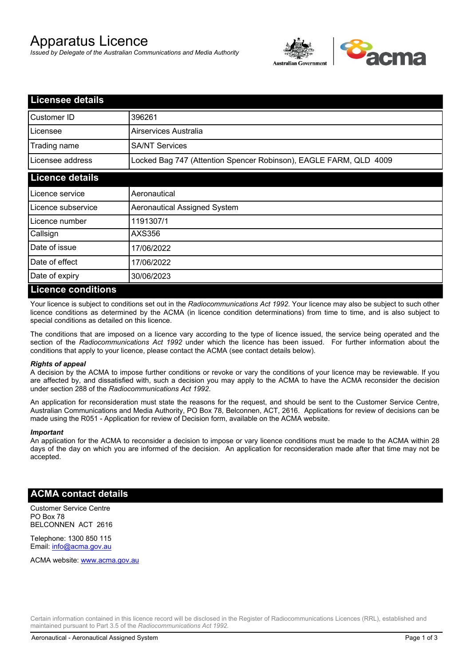# Apparatus Licence

*Issued by Delegate of the Australian Communications and Media Authority*



| <b>Licensee details</b> |                                                                   |
|-------------------------|-------------------------------------------------------------------|
| Customer ID             | 396261                                                            |
| Licensee                | Airservices Australia                                             |
| Trading name            | <b>SA/NT Services</b>                                             |
| Licensee address        | Locked Bag 747 (Attention Spencer Robinson), EAGLE FARM, QLD 4009 |
| <b>Licence details</b>  |                                                                   |
| Licence service         | Aeronautical                                                      |
| Licence subservice      | Aeronautical Assigned System                                      |
| Licence number          | 1191307/1                                                         |
| Callsign                | AXS356                                                            |
| Date of issue           | 17/06/2022                                                        |
| Date of effect          | 17/06/2022                                                        |
| Date of expiry          | 30/06/2023                                                        |
| Licance conditione      |                                                                   |

## **Licence conditions**

Your licence is subject to conditions set out in the *Radiocommunications Act 1992*. Your licence may also be subject to such other licence conditions as determined by the ACMA (in licence condition determinations) from time to time, and is also subject to special conditions as detailed on this licence.

The conditions that are imposed on a licence vary according to the type of licence issued, the service being operated and the section of the *Radiocommunications Act 1992* under which the licence has been issued. For further information about the conditions that apply to your licence, please contact the ACMA (see contact details below).

### *Rights of appeal*

A decision by the ACMA to impose further conditions or revoke or vary the conditions of your licence may be reviewable. If you are affected by, and dissatisfied with, such a decision you may apply to the ACMA to have the ACMA reconsider the decision under section 288 of the *Radiocommunications Act 1992*.

An application for reconsideration must state the reasons for the request, and should be sent to the Customer Service Centre, Australian Communications and Media Authority, PO Box 78, Belconnen, ACT, 2616. Applications for review of decisions can be made using the R051 - Application for review of Decision form, available on the ACMA website.

#### *Important*

An application for the ACMA to reconsider a decision to impose or vary licence conditions must be made to the ACMA within 28 days of the day on which you are informed of the decision. An application for reconsideration made after that time may not be accepted.

## **ACMA contact details**

Customer Service Centre PO Box 78 BELCONNEN ACT 2616

Telephone: 1300 850 115 Email: info@acma.gov.au

ACMA website: www.acma.gov.au

Certain information contained in this licence record will be disclosed in the Register of Radiocommunications Licences (RRL), established and maintained pursuant to Part 3.5 of the *Radiocommunications Act 1992.*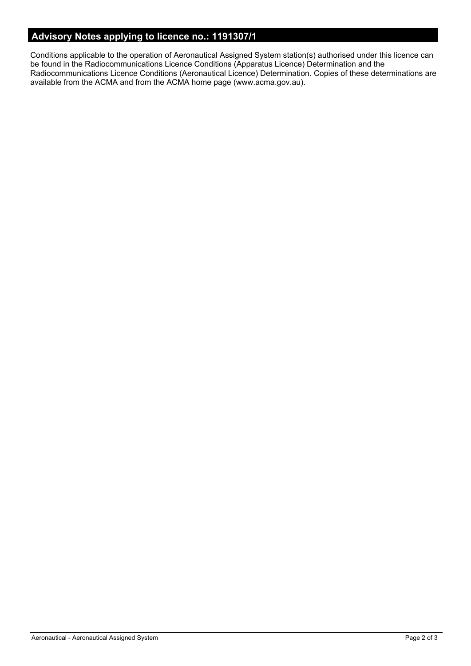# **Advisory Notes applying to licence no.: 1191307/1**

Conditions applicable to the operation of Aeronautical Assigned System station(s) authorised under this licence can be found in the Radiocommunications Licence Conditions (Apparatus Licence) Determination and the Radiocommunications Licence Conditions (Aeronautical Licence) Determination. Copies of these determinations are available from the ACMA and from the ACMA home page (www.acma.gov.au).